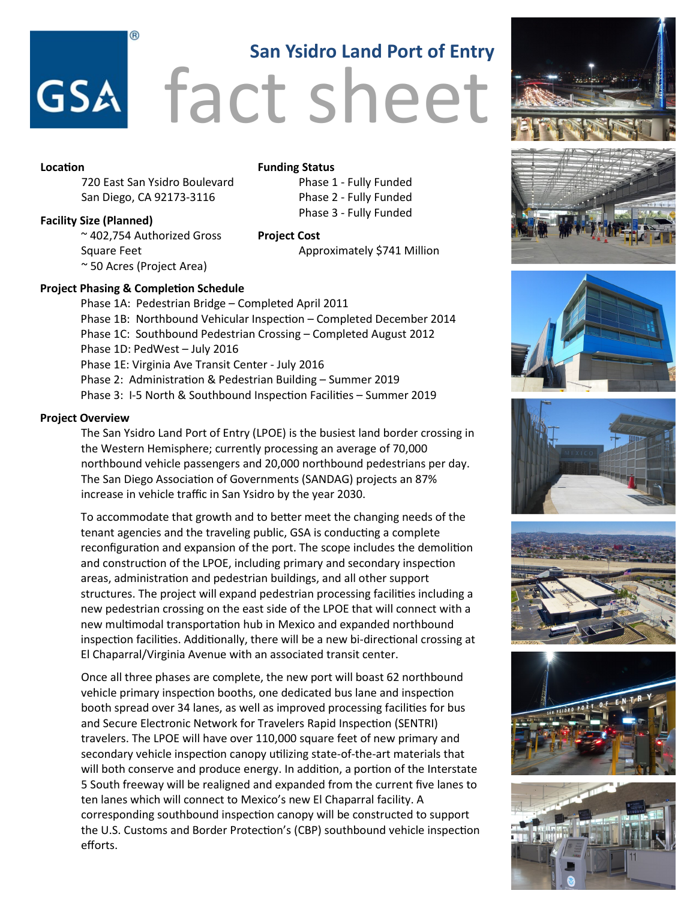# fact sheet **San Ysidro Land Port of Entry**

### **Location**

720 East San Ysidro Boulevard San Diego, CA 92173-3116

**Funding Status** Phase 1 - Fully Funded Phase 2 - Fully Funded Phase 3 - Fully Funded

Approximately \$741 Million

### **Facility Size (Planned)**

~ 402,754 Authorized Gross Square Feet ~ 50 Acres (Project Area)

### **Project Phasing & Completion Schedule**

Phase 1A: Pedestrian Bridge – Completed April 2011 Phase 1B: Northbound Vehicular Inspection – Completed December 2014 Phase 1C: Southbound Pedestrian Crossing – Completed August 2012 Phase 1D: PedWest – July 2016 Phase 1E: Virginia Ave Transit Center - July 2016 Phase 2: Administration & Pedestrian Building – Summer 2019 Phase 3: I-5 North & Southbound Inspection Facilities – Summer 2019

**Project Cost**

## **Project Overview**

The San Ysidro Land Port of Entry (LPOE) is the busiest land border crossing in the Western Hemisphere; currently processing an average of 70,000 northbound vehicle passengers and 20,000 northbound pedestrians per day. The San Diego Association of Governments (SANDAG) projects an 87% increase in vehicle traffic in San Ysidro by the year 2030.

To accommodate that growth and to better meet the changing needs of the tenant agencies and the traveling public, GSA is conducting a complete reconfiguration and expansion of the port. The scope includes the demolition and construction of the LPOE, including primary and secondary inspection areas, administration and pedestrian buildings, and all other support structures. The project will expand pedestrian processing facilities including a new pedestrian crossing on the east side of the LPOE that will connect with a new multimodal transportation hub in Mexico and expanded northbound inspection facilities. Additionally, there will be a new bi-directional crossing at El Chaparral/Virginia Avenue with an associated transit center.

Once all three phases are complete, the new port will boast 62 northbound vehicle primary inspection booths, one dedicated bus lane and inspection booth spread over 34 lanes, as well as improved processing facilities for bus and Secure Electronic Network for Travelers Rapid Inspection (SENTRI) travelers. The LPOE will have over 110,000 square feet of new primary and secondary vehicle inspection canopy utilizing state-of-the-art materials that will both conserve and produce energy. In addition, a portion of the Interstate 5 South freeway will be realigned and expanded from the current five lanes to ten lanes which will connect to Mexico's new El Chaparral facility. A corresponding southbound inspection canopy will be constructed to support the U.S. Customs and Border Protection's (CBP) southbound vehicle inspection efforts.